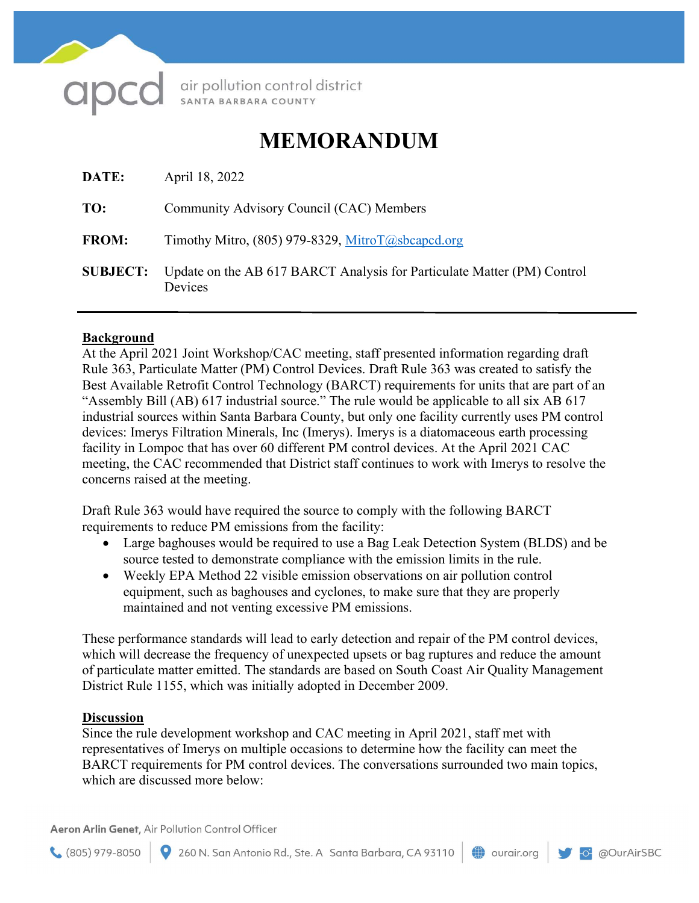

air pollution control district<br>sамта ваквака соимтү

## MEMORANDUM

| DATE:           | April 18, 2022                                                                     |
|-----------------|------------------------------------------------------------------------------------|
| TO:             | Community Advisory Council (CAC) Members                                           |
| <b>FROM:</b>    | Timothy Mitro, $(805)$ 979-8329, MitroT@sbcapcd.org                                |
| <b>SUBJECT:</b> | Update on the AB 617 BARCT Analysis for Particulate Matter (PM) Control<br>Devices |

## Background

At the April 2021 Joint Workshop/CAC meeting, staff presented information regarding draft Rule 363, Particulate Matter (PM) Control Devices. Draft Rule 363 was created to satisfy the Best Available Retrofit Control Technology (BARCT) requirements for units that are part of an "Assembly Bill (AB) 617 industrial source." The rule would be applicable to all six AB 617 industrial sources within Santa Barbara County, but only one facility currently uses PM control devices: Imerys Filtration Minerals, Inc (Imerys). Imerys is a diatomaceous earth processing facility in Lompoc that has over 60 different PM control devices. At the April 2021 CAC meeting, the CAC recommended that District staff continues to work with Imerys to resolve the concerns raised at the meeting.

Draft Rule 363 would have required the source to comply with the following BARCT requirements to reduce PM emissions from the facility:

- Large baghouses would be required to use a Bag Leak Detection System (BLDS) and be source tested to demonstrate compliance with the emission limits in the rule.
- Weekly EPA Method 22 visible emission observations on air pollution control equipment, such as baghouses and cyclones, to make sure that they are properly maintained and not venting excessive PM emissions.

These performance standards will lead to early detection and repair of the PM control devices, which will decrease the frequency of unexpected upsets or bag ruptures and reduce the amount of particulate matter emitted. The standards are based on South Coast Air Quality Management District Rule 1155, which was initially adopted in December 2009.

## **Discussion**

Since the rule development workshop and CAC meeting in April 2021, staff met with representatives of Imerys on multiple occasions to determine how the facility can meet the BARCT requirements for PM control devices. The conversations surrounded two main topics, which are discussed more below:

Aeron Arlin Genet, Air Pollution Control Officer

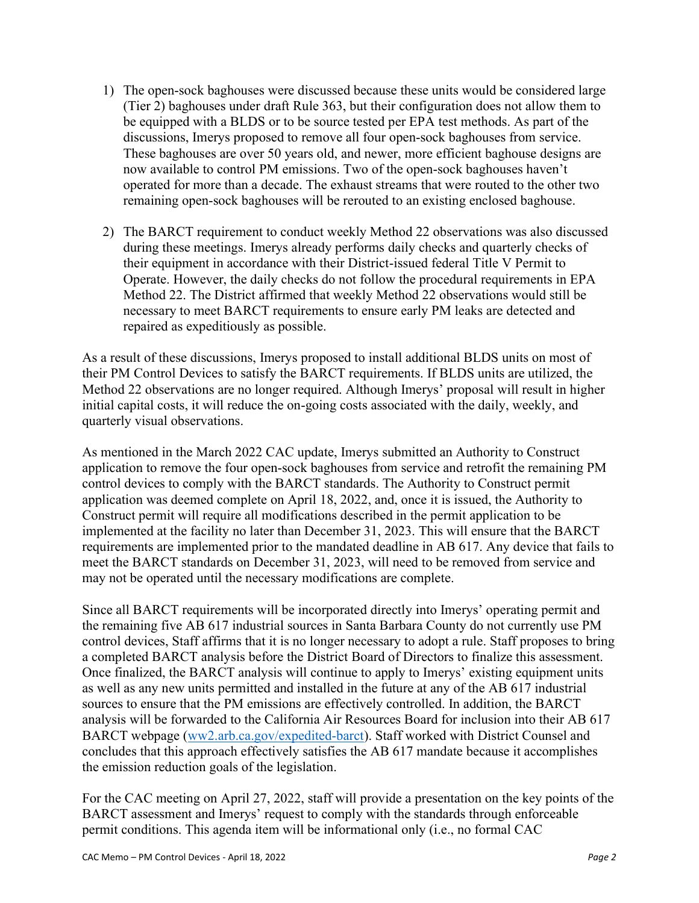- 1) The open-sock baghouses were discussed because these units would be considered large (Tier 2) baghouses under draft Rule 363, but their configuration does not allow them to be equipped with a BLDS or to be source tested per EPA test methods. As part of the discussions, Imerys proposed to remove all four open-sock baghouses from service. These baghouses are over 50 years old, and newer, more efficient baghouse designs are now available to control PM emissions. Two of the open-sock baghouses haven't operated for more than a decade. The exhaust streams that were routed to the other two remaining open-sock baghouses will be rerouted to an existing enclosed baghouse.
- 2) The BARCT requirement to conduct weekly Method 22 observations was also discussed during these meetings. Imerys already performs daily checks and quarterly checks of their equipment in accordance with their District-issued federal Title V Permit to Operate. However, the daily checks do not follow the procedural requirements in EPA Method 22. The District affirmed that weekly Method 22 observations would still be necessary to meet BARCT requirements to ensure early PM leaks are detected and repaired as expeditiously as possible.

As a result of these discussions, Imerys proposed to install additional BLDS units on most of their PM Control Devices to satisfy the BARCT requirements. If BLDS units are utilized, the Method 22 observations are no longer required. Although Imerys' proposal will result in higher initial capital costs, it will reduce the on-going costs associated with the daily, weekly, and quarterly visual observations.

As mentioned in the March 2022 CAC update, Imerys submitted an Authority to Construct application to remove the four open-sock baghouses from service and retrofit the remaining PM control devices to comply with the BARCT standards. The Authority to Construct permit application was deemed complete on April 18, 2022, and, once it is issued, the Authority to Construct permit will require all modifications described in the permit application to be implemented at the facility no later than December 31, 2023. This will ensure that the BARCT requirements are implemented prior to the mandated deadline in AB 617. Any device that fails to meet the BARCT standards on December 31, 2023, will need to be removed from service and may not be operated until the necessary modifications are complete.

Since all BARCT requirements will be incorporated directly into Imerys' operating permit and the remaining five AB 617 industrial sources in Santa Barbara County do not currently use PM control devices, Staff affirms that it is no longer necessary to adopt a rule. Staff proposes to bring a completed BARCT analysis before the District Board of Directors to finalize this assessment. Once finalized, the BARCT analysis will continue to apply to Imerys' existing equipment units as well as any new units permitted and installed in the future at any of the AB 617 industrial sources to ensure that the PM emissions are effectively controlled. In addition, the BARCT analysis will be forwarded to the California Air Resources Board for inclusion into their AB 617 BARCT webpage [\(ww2.arb.ca.gov/expedited-barct\)](ww2.arb.ca.gov/expedited-barct). Staff worked with District Counsel and concludes that this approach effectively satisfies the AB 617 mandate because it accomplishes the emission reduction goals of the legislation.

For the CAC meeting on April 27, 2022, staff will provide a presentation on the key points of the BARCT assessment and Imerys' request to comply with the standards through enforceable permit conditions. This agenda item will be informational only (i.e., no formal CAC